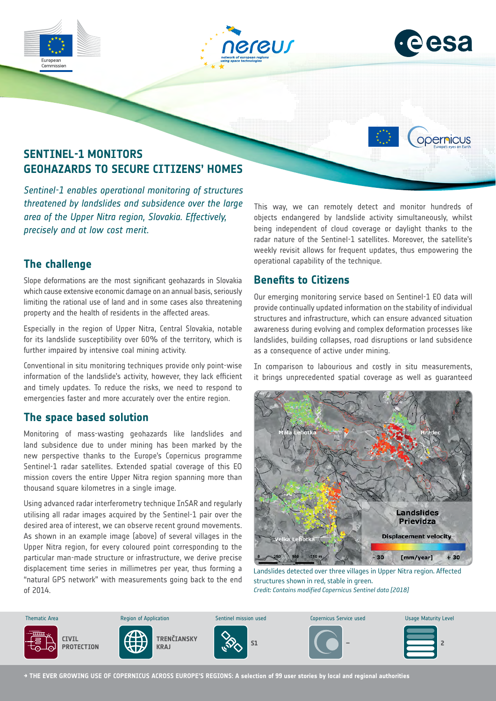







# **SENTINEL-1 MONITORS GEOHAZARDS TO SECURE CITIZENS' HOMES**

*Sentinel-1 enables operational monitoring of structures threatened by landslides and subsidence over the large area of the Upper Nitra region, Slovakia. Effectively, precisely and at low cost merit.*

## **The challenge**

Slope deformations are the most significant geohazards in Slovakia which cause extensive economic damage on an annual basis, seriously limiting the rational use of land and in some cases also threatening property and the health of residents in the affected areas.

Especially in the region of Upper Nitra, Central Slovakia, notable for its landslide susceptibility over 60% of the territory, which is further impaired by intensive coal mining activity.

Conventional in situ monitoring techniques provide only point-wise information of the landslide's activity, however, they lack efficient and timely updates. To reduce the risks, we need to respond to emergencies faster and more accurately over the entire region.

#### **The space based solution**

Monitoring of mass-wasting geohazards like landslides and land subsidence due to under mining has been marked by the new perspective thanks to the Europe's Copernicus programme Sentinel-1 radar satellites. Extended spatial coverage of this EO mission covers the entire Upper Nitra region spanning more than thousand square kilometres in a single image.

Using advanced radar interferometry technique InSAR and regularly utilising all radar images acquired by the Sentinel-1 pair over the desired area of interest, we can observe recent ground movements. As shown in an example image (above) of several villages in the Upper Nitra region, for every coloured point corresponding to the particular man-made structure or infrastructure, we derive precise displacement time series in millimetres per year, thus forming a "natural GPS network" with measurements going back to the end of 2014.

This way, we can remotely detect and monitor hundreds of objects endangered by landslide activity simultaneously, whilst being independent of cloud coverage or daylight thanks to the radar nature of the Sentinel-1 satellites. Moreover, the satellite's weekly revisit allows for frequent updates, thus empowering the operational capability of the technique.

#### **Benefits to Citizens**

Our emerging monitoring service based on Sentinel-1 EO data will provide continually updated information on the stability of individual structures and infrastructure, which can ensure advanced situation awareness during evolving and complex deformation processes like landslides, building collapses, road disruptions or land subsidence as a consequence of active under mining.

In comparison to labourious and costly in situ measurements, it brings unprecedented spatial coverage as well as guaranteed



Landslides detected over three villages in Upper Nitra region. Affected structures shown in red, stable in green. *Credit: Contains modified Copernicus Sentinel data [2018]*



**→ THE EVER GROWING USE OF COPERNICUS ACROSS EUROPE'S REGIONS: A selection of 99 user stories by local and regional authorities**